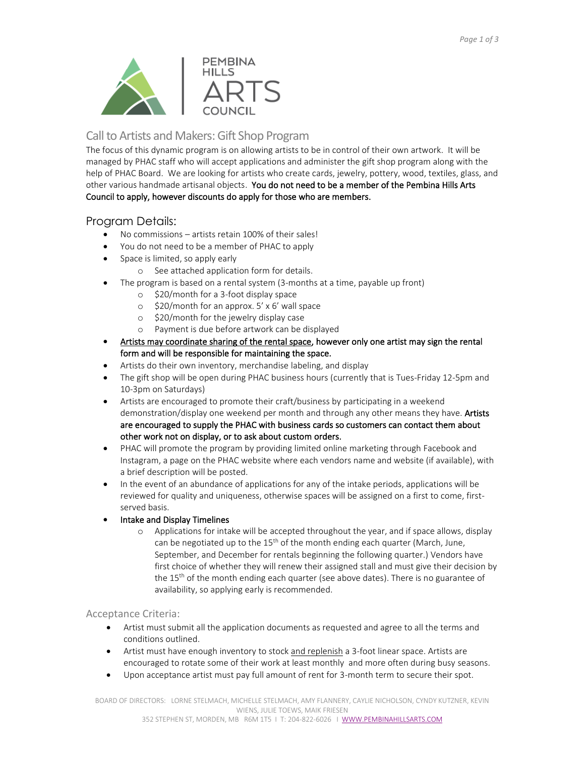

# Call to Artists and Makers: Gift Shop Program

The focus of this dynamic program is on allowing artists to be in control of their own artwork. It will be managed by PHAC staff who will accept applications and administer the gift shop program along with the help of PHAC Board. We are looking for artists who create cards, jewelry, pottery, wood, textiles, glass, and other various handmade artisanal objects. You do not need to be a member of the Pembina Hills Arts Council to apply, however discounts do apply for those who are members.

# Program Details:

- No commissions artists retain 100% of their sales!
- You do not need to be a member of PHAC to apply
- Space is limited, so apply early
	- o See attached application form for details.
- The program is based on a rental system (3-months at a time, payable up front)
	- o \$20/month for a 3-foot display space
	- o \$20/month for an approx. 5' x 6' wall space
	- o \$20/month for the jewelry display case
	- o Payment is due before artwork can be displayed
- Artists may coordinate sharing of the rental space, however only one artist may sign the rental form and will be responsible for maintaining the space.
- Artists do their own inventory, merchandise labeling, and display
- The gift shop will be open during PHAC business hours (currently that is Tues-Friday 12-5pm and 10-3pm on Saturdays)
- Artists are encouraged to promote their craft/business by participating in a weekend demonstration/display one weekend per month and through any other means they have. Artists are encouraged to supply the PHAC with business cards so customers can contact them about other work not on display, or to ask about custom orders.
- PHAC will promote the program by providing limited online marketing through Facebook and Instagram, a page on the PHAC website where each vendors name and website (if available), with a brief description will be posted.
- In the event of an abundance of applications for any of the intake periods, applications will be reviewed for quality and uniqueness, otherwise spaces will be assigned on a first to come, firstserved basis.
- Intake and Display Timelines
	- o Applications for intake will be accepted throughout the year, and if space allows, display can be negotiated up to the  $15<sup>th</sup>$  of the month ending each quarter (March, June, September, and December for rentals beginning the following quarter.) Vendors have first choice of whether they will renew their assigned stall and must give their decision by the 15<sup>th</sup> of the month ending each quarter (see above dates). There is no guarantee of availability, so applying early is recommended.

## Acceptance Criteria:

- Artist must submit all the application documents as requested and agree to all the terms and conditions outlined.
- Artist must have enough inventory to stock and replenish a 3-foot linear space. Artists are encouraged to rotate some of their work at least monthly and more often during busy seasons.
- Upon acceptance artist must pay full amount of rent for 3-month term to secure their spot.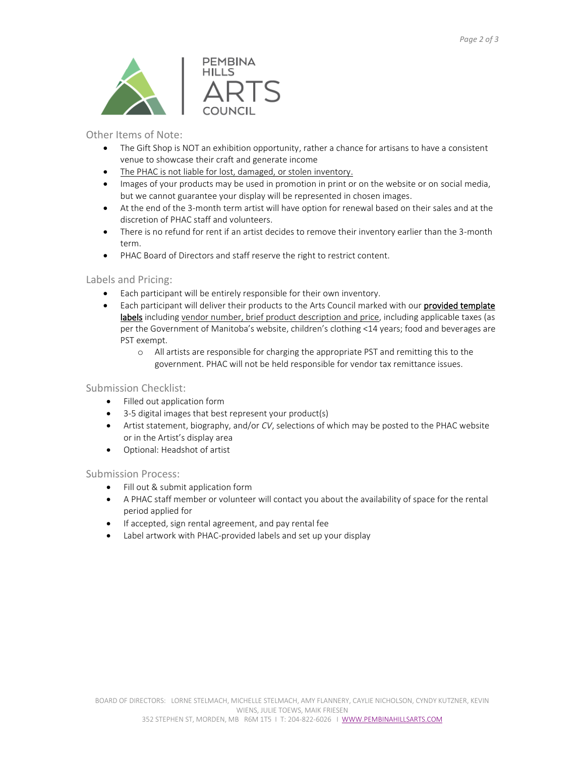

Other Items of Note:

- The Gift Shop is NOT an exhibition opportunity, rather a chance for artisans to have a consistent venue to showcase their craft and generate income
- The PHAC is not liable for lost, damaged, or stolen inventory.
- Images of your products may be used in promotion in print or on the website or on social media, but we cannot guarantee your display will be represented in chosen images.
- At the end of the 3-month term artist will have option for renewal based on their sales and at the discretion of PHAC staff and volunteers.
- There is no refund for rent if an artist decides to remove their inventory earlier than the 3-month term.
- PHAC Board of Directors and staff reserve the right to restrict content.

### Labels and Pricing:

- Each participant will be entirely responsible for their own inventory.
- Each participant will deliver their products to the Arts Council marked with our provided template labels including vendor number, brief product description and price, including applicable taxes (as per the Government of Manitoba's website, children's clothing <14 years; food and beverages are PST exempt.
	- o All artists are responsible for charging the appropriate PST and remitting this to the government. PHAC will not be held responsible for vendor tax remittance issues.

#### Submission Checklist:

- Filled out application form
- 3-5 digital images that best represent your product(s)
- Artist statement, biography, and/or *CV*, selections of which may be posted to the PHAC website or in the Artist's display area
- Optional: Headshot of artist

#### Submission Process:

- Fill out & submit application form
- A PHAC staff member or volunteer will contact you about the availability of space for the rental period applied for
- If accepted, sign rental agreement, and pay rental fee
- Label artwork with PHAC-provided labels and set up your display